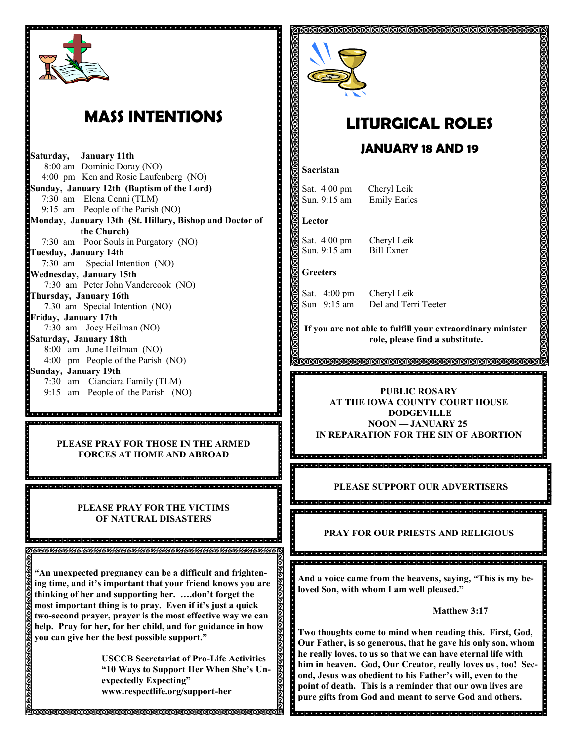

## **MASS INTENTIONS**

**Saturday, January 11th**  8:00 am Dominic Doray (NO) 4:00 pm Ken and Rosie Laufenberg (NO) **Sunday, January 12th (Baptism of the Lord)** 7:30 am Elena Cenni (TLM) 9:15 am People of the Parish (NO) **Monday, January 13th (St. Hillary, Bishop and Doctor of the Church)** 7:30 am Poor Souls in Purgatory (NO) **Tuesday, January 14th**  7:30 am Special Intention (NO) **Wednesday, January 15th** 7:30 am Peter John Vandercook (NO) **Thursday, January 16th** 7.30 am Special Intention (NO) **Friday, January 17th** 7:30 am Joey Heilman (NO) **Saturday, January 18th** 8:00 am June Heilman (NO) 4:00 pm People of the Parish (NO) **Sunday, January 19th**  7:30 am Cianciara Family (TLM) 9:15 am People of the Parish (NO)

**PLEASE PRAY FOR THOSE IN THE ARMED FORCES AT HOME AND ABROAD**

o de la ciedad de de la ciedad de la ciedad de la ciedad de la ciedad de la ciedad de la ciedad de la ciedad

**PLEASE PRAY FOR THE VICTIMS OF NATURAL DISASTERS**

8 aasta aasta aasta aasta aasta aasta aasta aasta aasta aasta aasta aasta aasta aasta 

**"An unexpected pregnancy can be a difficult and frightening time, and it's important that your friend knows you are thinking of her and supporting her. ….don't forget the most important thing is to pray. Even if it's just a quick two-second prayer, prayer is the most effective way we can help. Pray for her, for her child, and for guidance in how you can give her the best possible support."**

> **USCCB Secretariat of Pro-Life Activities "10 Ways to Support Her When She's Unexpectedly Expecting" www.respectlife.org/support-her**



## **LITURGICAL ROLES**

<u> ସମେମାମାମାମାମାମାମାମାମାମାମାମାମାମାମାମାମାମା</u>

### **JANUARY 18 AND 19**

#### **Sacristan**

Sat. 4:00 pm Cheryl Leik Sun. 9:15 am Emily Earles

#### **Lector**

Sat. 4:00 pm Cheryl Leik Sun. 9:15 am Bill Exner

#### **Greeters**

99

 $\ddot{\cdot}$ 

Sat. 4:00 pm Cheryl Leik

Sun 9:15 am Del and Terri Teeter

**If you are not able to fulfill your extraordinary minister role, please find a substitute.** 

वाद्यांचा दावांचा वाद्यांचा वाद्यांचा वाद्यांचा वाद्यांचा वाद्यांचा वाद्यांचा वाद्यांचा वाद्यांचा वाद्यांचा वाद्यांचा वाद्यांचा वाद्यांचा वाद्यांचा वाद्यांचा वाद्यांचा वाद्यांचा वाद्यांचा वाद्यांचा वाद्यांचा वाद्यांचा वाद्

<u>KARARARARARARARARARARARARARA</u>

#### **PUBLIC ROSARY AT THE IOWA COUNTY COURT HOUSE DODGEVILLE NOON — JANUARY 25 IN REPARATION FOR THE SIN OF ABORTION**

.<br>1910 | 1910 | 1910 | 1910 | 1910 | 1910 | 1910 | 1910 | 1910 | 1910 | 1910 | 1910 | 1910 | 1910 | 1910 | 1910

a<br>Octobra o cidado do cidado do cidado do cidado do cidade do cidade do cidade do cidade.

# **PLEASE SUPPORT OUR ADVERTISERS**<br> **PLEASE SUPPORT OUR ADVERTISERS**

da a la caractería e se la sigle de la caractería de la caractería e el caractería el caractería de la caracterí<br>A caractería de la caractería de la caractería de la caractería de la caractería de la caractería de la carac

#### **PRAY FOR OUR PRIESTS AND RELIGIOUS**

**And a voice came from the heavens, saying, "This is my beloved Son, with whom I am well pleased."**

#### **Matthew 3:17**

**Two thoughts come to mind when reading this. First, God, Our Father, is so generous, that he gave his only son, whom he really loves, to us so that we can have eternal life with him in heaven. God, Our Creator, really loves us , too! Second, Jesus was obedient to his Father's will, even to the point of death. This is a reminder that our own lives are pure gifts from God and meant to serve God and others.**